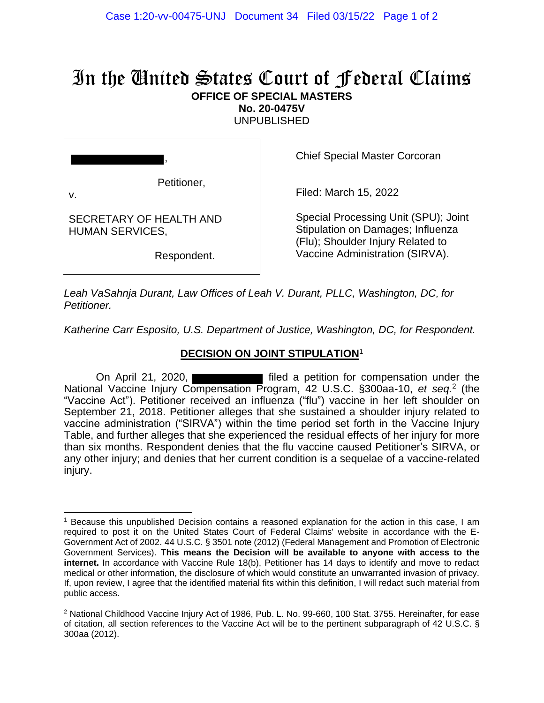## In the United States Court of Federal Claims **OFFICE OF SPECIAL MASTERS**

**No. 20-0475V**

UNPUBLISHED

,

HUMAN SERVICES,

SECRETARY OF HEALTH AND

v.

Petitioner,

Chief Special Master Corcoran

Filed: March 15, 2022

Special Processing Unit (SPU); Joint Stipulation on Damages; Influenza (Flu); Shoulder Injury Related to Vaccine Administration (SIRVA).

Respondent.

*Leah VaSahnja Durant, Law Offices of Leah V. Durant, PLLC, Washington, DC, for Petitioner.*

*Katherine Carr Esposito, U.S. Department of Justice, Washington, DC, for Respondent.*

## **DECISION ON JOINT STIPULATION**<sup>1</sup>

On April 21, 2020, **the anti-orient of the state of the state of the state of the state of the state of the state of the state of the state of the state of the state of the state of the state of the state of the state of t** National Vaccine Injury Compensation Program, 42 U.S.C. §300aa-10, *et seq.*<sup>2</sup> (the "Vaccine Act"). Petitioner received an influenza ("flu") vaccine in her left shoulder on September 21, 2018. Petitioner alleges that she sustained a shoulder injury related to vaccine administration ("SIRVA") within the time period set forth in the Vaccine Injury Table, and further alleges that she experienced the residual effects of her injury for more than six months. Respondent denies that the flu vaccine caused Petitioner's SIRVA, or any other injury; and denies that her current condition is a sequelae of a vaccine-related injury.

<sup>1</sup> Because this unpublished Decision contains a reasoned explanation for the action in this case, I am required to post it on the United States Court of Federal Claims' website in accordance with the E-Government Act of 2002. 44 U.S.C. § 3501 note (2012) (Federal Management and Promotion of Electronic Government Services). **This means the Decision will be available to anyone with access to the internet.** In accordance with Vaccine Rule 18(b), Petitioner has 14 days to identify and move to redact medical or other information, the disclosure of which would constitute an unwarranted invasion of privacy. If, upon review, I agree that the identified material fits within this definition, I will redact such material from public access.

<sup>2</sup> National Childhood Vaccine Injury Act of 1986, Pub. L. No. 99-660, 100 Stat. 3755. Hereinafter, for ease of citation, all section references to the Vaccine Act will be to the pertinent subparagraph of 42 U.S.C. § 300aa (2012).